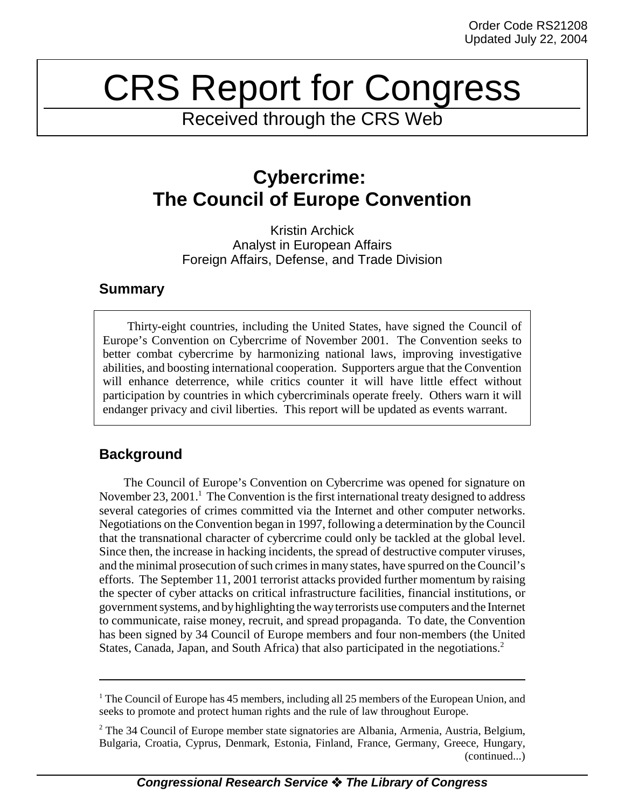# CRS Report for Congress

Received through the CRS Web

## **Cybercrime: The Council of Europe Convention**

Kristin Archick Analyst in European Affairs Foreign Affairs, Defense, and Trade Division

## **Summary**

Thirty-eight countries, including the United States, have signed the Council of Europe's Convention on Cybercrime of November 2001. The Convention seeks to better combat cybercrime by harmonizing national laws, improving investigative abilities, and boosting international cooperation. Supporters argue that the Convention will enhance deterrence, while critics counter it will have little effect without participation by countries in which cybercriminals operate freely. Others warn it will endanger privacy and civil liberties. This report will be updated as events warrant.

## **Background**

The Council of Europe's Convention on Cybercrime was opened for signature on November 23, 2001.<sup>1</sup> The Convention is the first international treaty designed to address several categories of crimes committed via the Internet and other computer networks. Negotiations on the Convention began in 1997, following a determination by the Council that the transnational character of cybercrime could only be tackled at the global level. Since then, the increase in hacking incidents, the spread of destructive computer viruses, and the minimal prosecution of such crimes in many states, have spurred on the Council's efforts. The September 11, 2001 terrorist attacks provided further momentum by raising the specter of cyber attacks on critical infrastructure facilities, financial institutions, or government systems, and by highlighting the way terrorists use computers and the Internet to communicate, raise money, recruit, and spread propaganda. To date, the Convention has been signed by 34 Council of Europe members and four non-members (the United States, Canada, Japan, and South Africa) that also participated in the negotiations.<sup>2</sup>

<sup>&</sup>lt;sup>1</sup> The Council of Europe has 45 members, including all 25 members of the European Union, and seeks to promote and protect human rights and the rule of law throughout Europe.

<sup>&</sup>lt;sup>2</sup> The 34 Council of Europe member state signatories are Albania, Armenia, Austria, Belgium, Bulgaria, Croatia, Cyprus, Denmark, Estonia, Finland, France, Germany, Greece, Hungary, (continued...)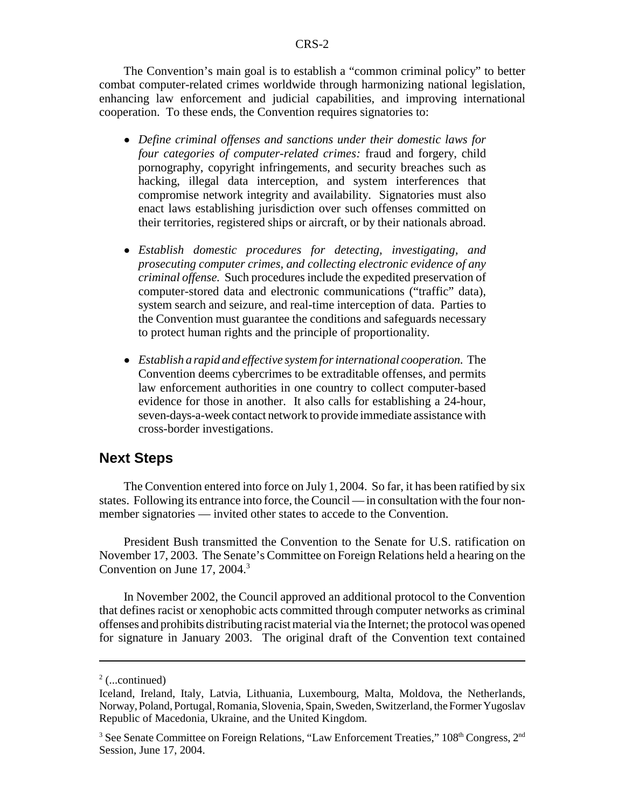#### CRS-2

The Convention's main goal is to establish a "common criminal policy" to better combat computer-related crimes worldwide through harmonizing national legislation, enhancing law enforcement and judicial capabilities, and improving international cooperation. To these ends, the Convention requires signatories to:

- ! *Define criminal offenses and sanctions under their domestic laws for four categories of computer-related crimes:* fraud and forgery, child pornography, copyright infringements, and security breaches such as hacking, illegal data interception, and system interferences that compromise network integrity and availability. Signatories must also enact laws establishing jurisdiction over such offenses committed on their territories, registered ships or aircraft, or by their nationals abroad.
- ! *Establish domestic procedures for detecting, investigating, and prosecuting computer crimes, and collecting electronic evidence of any criminal offense.* Such procedures include the expedited preservation of computer-stored data and electronic communications ("traffic" data), system search and seizure, and real-time interception of data. Parties to the Convention must guarantee the conditions and safeguards necessary to protect human rights and the principle of proportionality.
- ! *Establish a rapid and effective system for international cooperation.* The Convention deems cybercrimes to be extraditable offenses, and permits law enforcement authorities in one country to collect computer-based evidence for those in another. It also calls for establishing a 24-hour, seven-days-a-week contact network to provide immediate assistance with cross-border investigations.

### **Next Steps**

The Convention entered into force on July 1, 2004. So far, it has been ratified by six states. Following its entrance into force, the Council — in consultation with the four nonmember signatories — invited other states to accede to the Convention.

President Bush transmitted the Convention to the Senate for U.S. ratification on November 17, 2003. The Senate's Committee on Foreign Relations held a hearing on the Convention on June 17, 2004.<sup>3</sup>

In November 2002, the Council approved an additional protocol to the Convention that defines racist or xenophobic acts committed through computer networks as criminal offenses and prohibits distributing racist material via the Internet; the protocol was opened for signature in January 2003. The original draft of the Convention text contained

 $2$  (...continued)

Iceland, Ireland, Italy, Latvia, Lithuania, Luxembourg, Malta, Moldova, the Netherlands, Norway, Poland, Portugal, Romania, Slovenia, Spain, Sweden, Switzerland, the Former Yugoslav Republic of Macedonia, Ukraine, and the United Kingdom.

<sup>&</sup>lt;sup>3</sup> See Senate Committee on Foreign Relations, "Law Enforcement Treaties,"  $108<sup>th</sup>$  Congress,  $2<sup>nd</sup>$ Session, June 17, 2004.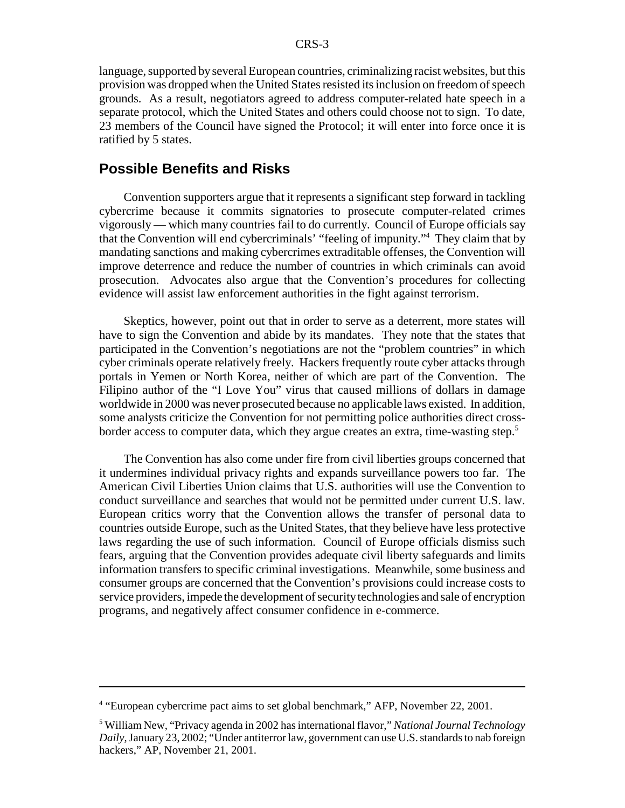language, supported by several European countries, criminalizing racist websites, but this provision was dropped when the United States resisted its inclusion on freedom of speech grounds. As a result, negotiators agreed to address computer-related hate speech in a separate protocol, which the United States and others could choose not to sign. To date, 23 members of the Council have signed the Protocol; it will enter into force once it is ratified by 5 states.

## **Possible Benefits and Risks**

Convention supporters argue that it represents a significant step forward in tackling cybercrime because it commits signatories to prosecute computer-related crimes vigorously — which many countries fail to do currently. Council of Europe officials say that the Convention will end cybercriminals' "feeling of impunity."4 They claim that by mandating sanctions and making cybercrimes extraditable offenses, the Convention will improve deterrence and reduce the number of countries in which criminals can avoid prosecution. Advocates also argue that the Convention's procedures for collecting evidence will assist law enforcement authorities in the fight against terrorism.

Skeptics, however, point out that in order to serve as a deterrent, more states will have to sign the Convention and abide by its mandates. They note that the states that participated in the Convention's negotiations are not the "problem countries" in which cyber criminals operate relatively freely. Hackers frequently route cyber attacks through portals in Yemen or North Korea, neither of which are part of the Convention. The Filipino author of the "I Love You" virus that caused millions of dollars in damage worldwide in 2000 was never prosecuted because no applicable laws existed. In addition, some analysts criticize the Convention for not permitting police authorities direct crossborder access to computer data, which they argue creates an extra, time-wasting step.<sup>5</sup>

The Convention has also come under fire from civil liberties groups concerned that it undermines individual privacy rights and expands surveillance powers too far. The American Civil Liberties Union claims that U.S. authorities will use the Convention to conduct surveillance and searches that would not be permitted under current U.S. law. European critics worry that the Convention allows the transfer of personal data to countries outside Europe, such as the United States, that they believe have less protective laws regarding the use of such information. Council of Europe officials dismiss such fears, arguing that the Convention provides adequate civil liberty safeguards and limits information transfers to specific criminal investigations. Meanwhile, some business and consumer groups are concerned that the Convention's provisions could increase costs to service providers, impede the development of security technologies and sale of encryption programs, and negatively affect consumer confidence in e-commerce.

<sup>&</sup>lt;sup>4</sup> "European cybercrime pact aims to set global benchmark," AFP, November 22, 2001.

<sup>5</sup> William New, "Privacy agenda in 2002 has international flavor," *National Journal Technology Daily*, January 23, 2002; "Under antiterror law, government can use U.S. standards to nab foreign hackers," AP, November 21, 2001.